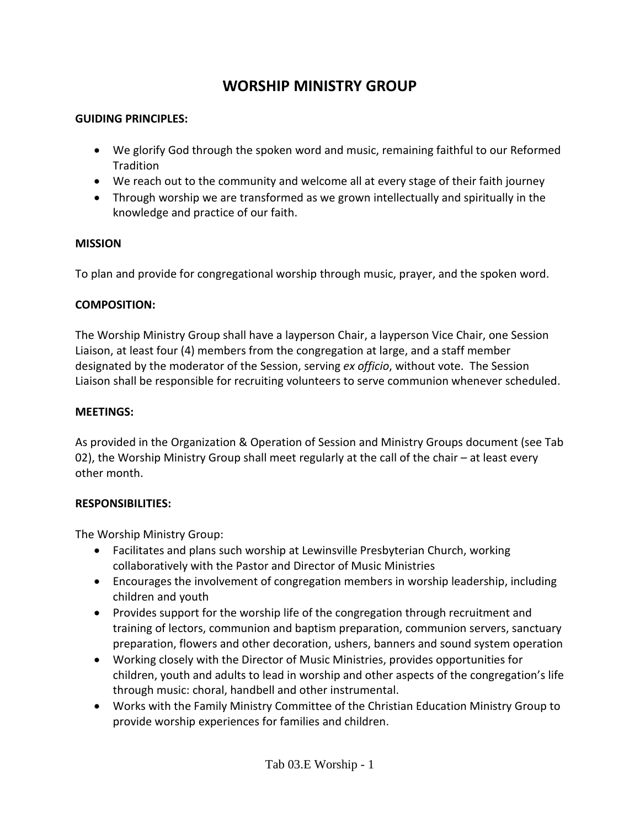# **WORSHIP MINISTRY GROUP**

#### **GUIDING PRINCIPLES:**

- We glorify God through the spoken word and music, remaining faithful to our Reformed **Tradition**
- We reach out to the community and welcome all at every stage of their faith journey
- Through worship we are transformed as we grown intellectually and spiritually in the knowledge and practice of our faith.

#### **MISSION**

To plan and provide for congregational worship through music, prayer, and the spoken word.

# **COMPOSITION:**

The Worship Ministry Group shall have a layperson Chair, a layperson Vice Chair, one Session Liaison, at least four (4) members from the congregation at large, and a staff member designated by the moderator of the Session, serving *ex officio*, without vote. The Session Liaison shall be responsible for recruiting volunteers to serve communion whenever scheduled.

#### **MEETINGS:**

As provided in the Organization & Operation of Session and Ministry Groups document (see Tab 02), the Worship Ministry Group shall meet regularly at the call of the chair – at least every other month.

# **RESPONSIBILITIES:**

The Worship Ministry Group:

- Facilitates and plans such worship at Lewinsville Presbyterian Church, working collaboratively with the Pastor and Director of Music Ministries
- Encourages the involvement of congregation members in worship leadership, including children and youth
- Provides support for the worship life of the congregation through recruitment and training of lectors, communion and baptism preparation, communion servers, sanctuary preparation, flowers and other decoration, ushers, banners and sound system operation
- Working closely with the Director of Music Ministries, provides opportunities for children, youth and adults to lead in worship and other aspects of the congregation's life through music: choral, handbell and other instrumental.
- Works with the Family Ministry Committee of the Christian Education Ministry Group to provide worship experiences for families and children.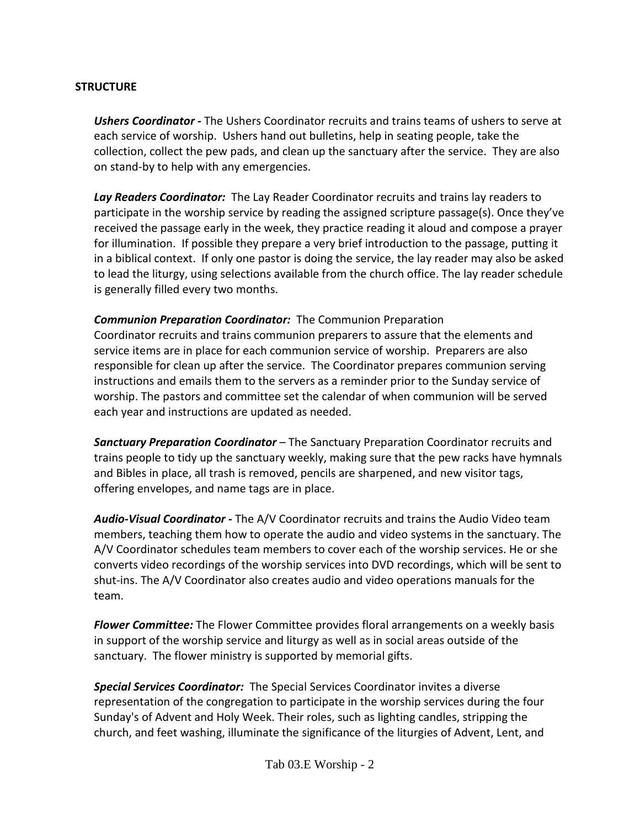#### **STRUCTURE**

*Ushers Coordinator -* The Ushers Coordinator recruits and trains teams of ushers to serve at each service of worship. Ushers hand out bulletins, help in seating people, take the collection, collect the pew pads, and clean up the sanctuary after the service. They are also on stand-by to help with any emergencies.

*Lay Readers Coordinator:* The Lay Reader Coordinator recruits and trains lay readers to participate in the worship service by reading the assigned scripture passage(s). Once they've received the passage early in the week, they practice reading it aloud and compose a prayer for illumination. If possible they prepare a very brief introduction to the passage, putting it in a biblical context. If only one pastor is doing the service, the lay reader may also be asked to lead the liturgy, using selections available from the church office. The lay reader schedule is generally filled every two months.

# *Communion Preparation Coordinator:* The Communion Preparation

Coordinator recruits and trains communion preparers to assure that the elements and service items are in place for each communion service of worship. Preparers are also responsible for clean up after the service. The Coordinator prepares communion serving instructions and emails them to the servers as a reminder prior to the Sunday service of worship. The pastors and committee set the calendar of when communion will be served each year and instructions are updated as needed.

*Sanctuary Preparation Coordinator* – The Sanctuary Preparation Coordinator recruits and trains people to tidy up the sanctuary weekly, making sure that the pew racks have hymnals and Bibles in place, all trash is removed, pencils are sharpened, and new visitor tags, offering envelopes, and name tags are in place.

*Audio-Visual Coordinator -* The A/V Coordinator recruits and trains the Audio Video team members, teaching them how to operate the audio and video systems in the sanctuary. The A/V Coordinator schedules team members to cover each of the worship services. He or she converts video recordings of the worship services into DVD recordings, which will be sent to shut-ins. The A/V Coordinator also creates audio and video operations manuals for the team.

*Flower Committee:* The Flower Committee provides floral arrangements on a weekly basis in support of the worship service and liturgy as well as in social areas outside of the sanctuary. The flower ministry is supported by memorial gifts.

*Special Services Coordinator:* The Special Services Coordinator invites a diverse representation of the congregation to participate in the worship services during the four Sunday's of Advent and Holy Week. Their roles, such as lighting candles, stripping the church, and feet washing, illuminate the significance of the liturgies of Advent, Lent, and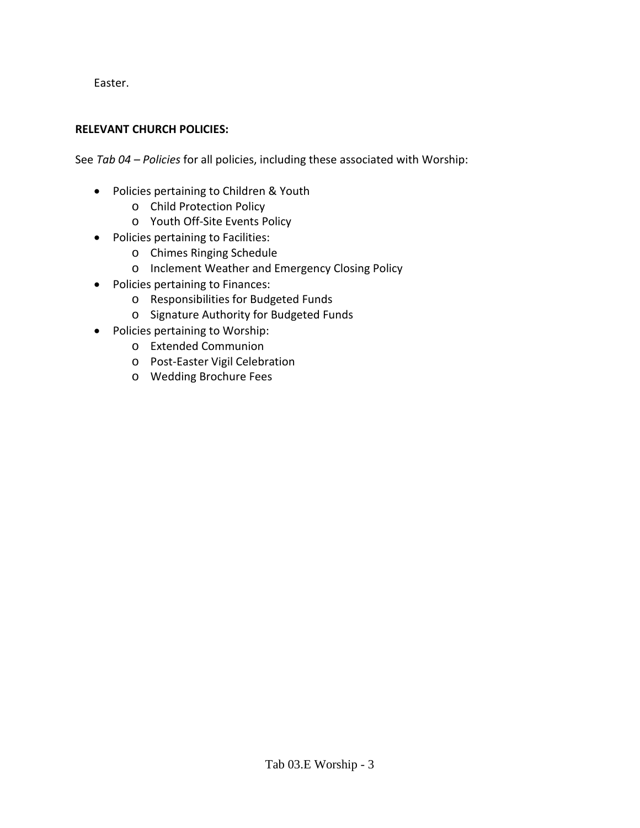Easter.

#### **RELEVANT CHURCH POLICIES:**

See *Tab 04 – Policies* for all policies, including these associated with Worship:

- Policies pertaining to Children & Youth
	- o Child Protection Policy
	- o Youth Off-Site Events Policy
- Policies pertaining to Facilities:
	- o Chimes Ringing Schedule
	- o Inclement Weather and Emergency Closing Policy
- Policies pertaining to Finances:
	- o Responsibilities for Budgeted Funds
	- o Signature Authority for Budgeted Funds
- Policies pertaining to Worship:
	- o Extended Communion
	- o Post-Easter Vigil Celebration
	- o Wedding Brochure Fees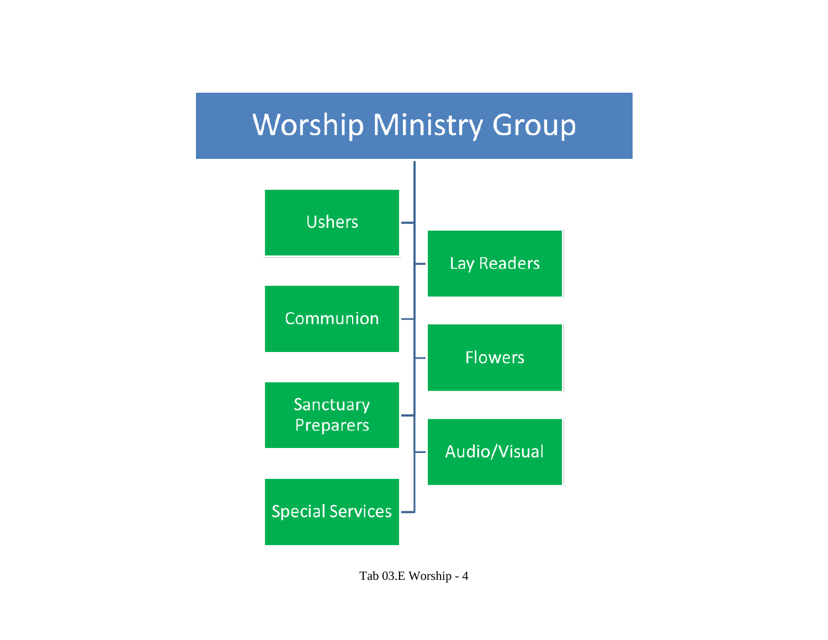

Tab 03.E Worship - 4